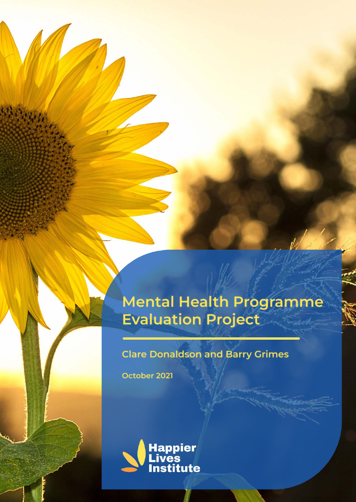# **Mental Health Programme Evaluation Project**

## **Clare Donaldson and Barry Grimes**

October 2021

 $53350$ 

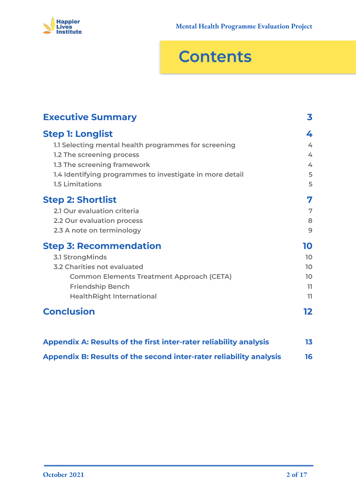

# **Contents**

| <b>Executive Summary</b>                                 | 3  |
|----------------------------------------------------------|----|
| <b>Step 1: Longlist</b>                                  | 4  |
| 1.1 Selecting mental health programmes for screening     | 4  |
| 1.2 The screening process                                | 4  |
| 1.3 The screening framework                              | 4  |
| 1.4 Identifying programmes to investigate in more detail | 5  |
| <b>1.5 Limitations</b>                                   | 5  |
| <b>Step 2: Shortlist</b>                                 | 7  |
| 2.1 Our evaluation criteria                              | 7  |
| 2.2 Our evaluation process                               | 8  |
| 2.3 A note on terminology                                | 9  |
| <b>Step 3: Recommendation</b>                            | 10 |
| <b>3.1 StrongMinds</b>                                   | 10 |
| 3.2 Charities not evaluated                              | 10 |
| <b>Common Elements Treatment Approach (CETA)</b>         | 10 |
| <b>Friendship Bench</b>                                  | 11 |
| <b>HealthRight International</b>                         | 11 |
| <b>Conclusion</b>                                        | 12 |

| Appendix A: Results of the first inter-rater reliability analysis  | 13 |
|--------------------------------------------------------------------|----|
| Appendix B: Results of the second inter-rater reliability analysis | 16 |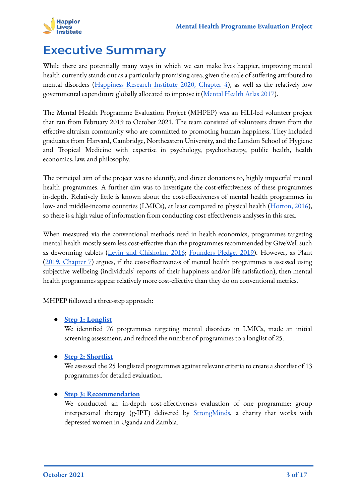

## <span id="page-2-0"></span>**Executive Summary**

While there are potentially many ways in which we can make lives happier, improving mental health currently stands out as a particularly promising area, given the scale of suffering attributed to mental disorders [\(Happiness Research Institute 2020, Chapter 4](https://6e3636b7-ad2f-4292-b910-faa23b9c20aa.filesusr.com/ugd/928487_1595c32a127341f7a2769c624898dc6c.pdf)), as well as the relatively low governmental expenditure globally allocated to improve it ([Mental Health Atlas 2017](https://apps.who.int/iris/bitstream/handle/10665/272735/9789241514019-eng.pdf)).

The Mental Health Programme Evaluation Project (MHPEP) was an HLI-led volunteer project that ran from February 2019 to October 2021. The team consisted of volunteers drawn from the effective altruism community who are committed to promoting human happiness. They included graduates from Harvard, Cambridge, Northeastern University, and the London School of Hygiene and Tropical Medicine with expertise in psychology, psychotherapy, public health, health economics, law, and philosophy.

The principal aim of the project was to identify, and direct donations to, highly impactful mental health programmes. A further aim was to investigate the cost-effectiveness of these programmes in-depth. Relatively little is known about the cost-effectiveness of mental health programmes in low- and middle-income countries (LMICs), at least compared to physical health [\(Horton, 2016](http://dcp-3.org/sites/default/files/chapters/DCP3%20Volume%209_Ch%207.pdf)), so there is a high value of information from conducting cost-effectiveness analyses in this area.

When measured via the conventional methods used in health economics, programmes targeting mental health mostly seem less cost-effective than the programmes recommended by GiveWell such as deworming tablets ([Levin and Chisholm, 2016](http://dcp-3.org/chapter/2047/cost-and-cost-effectiveness-interventions-policies-and-platforms-prevention-and); [Founders Pledge, 2019\)](https://founderspledge.com/stories/mental-health-report-summary). However, as Plant ([2019, Chapter 7](http://www.plantinghappiness.co.uk/wp-content/uploads/2019/11/M-Plant-Doing-Good-Badly.pdf)) argues, if the cost-effectiveness of mental health programmes is assessed using subjective wellbeing (individuals' reports of their happiness and/or life satisfaction), then mental health programmes appear relatively more cost-effective than they do on conventional metrics.

MHPEP followed a three-step approach:

#### **● [Step 1: Longlist](#page-2-1)**

We identified 76 programmes targeting mental disorders in LMICs, made an initial screening assessment, and reduced the number of programmes to a longlist of 25.

#### **● [Step 2: Shortlist](#page-6-0)**

We assessed the 25 longlisted programmes against relevant criteria to create a shortlist of 13 programmes for detailed evaluation.

#### **● Step 3: Recommendation**

<span id="page-2-1"></span>We conducted an in-depth cost-effectiveness evaluation of one programme: group interpersonal therapy (g-IPT) delivered by **[StrongMinds](https://strongminds.org/)**, a charity that works with depressed women in Uganda and Zambia.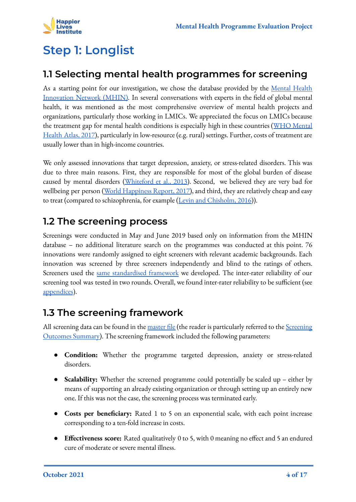

## <span id="page-3-0"></span>**Step 1: Longlist**

### <span id="page-3-1"></span>**1.1 Selecting mental health programmes for screening**

As a starting point for our investigation, we chose the database provided by the [Mental Health](https://www.mhinnovation.net/innovations) [Innovation Network \(MHIN\)](https://www.mhinnovation.net/innovations). In several conversations with experts in the field of global mental health, it was mentioned as the most comprehensive overview of mental health projects and organizations, particularly those working in LMICs. We appreciated the focus on LMICs because the treatment gap for mental health conditions is especially high in these countries ([WHO Mental](https://apps.who.int/iris/bitstream/handle/10665/272735/9789241514019-eng.pdf) [Health Atlas, 2017\)](https://apps.who.int/iris/bitstream/handle/10665/272735/9789241514019-eng.pdf), particularly in low-resource (e.g. rural) settings. Further, costs of treatment are usually lower than in high-income countries.

We only assessed innovations that target depression, anxiety, or stress-related disorders. This was due to three main reasons. First, they are responsible for most of the global burden of disease caused by mental disorders [\(Whiteford et al., 2013\)](http://citeseerx.ist.psu.edu/viewdoc/download?doi=10.1.1.393.7985&rep=rep1&type=pdf). Second, we believed they are very bad for wellbeing per person [\(World Happiness Report, 2017\)](https://s3.amazonaws.com/happiness-report/2017/HR17-Ch5_w-oAppendix.pdf), and third, they are relatively cheap and easy to treat (compared to schizophrenia, for example ([Levin and Chisholm, 2016\)](http://dcp-3.org/chapter/2047/cost-and-cost-effectiveness-interventions-policies-and-platforms-prevention-and)).

### <span id="page-3-2"></span>**1.2 The screening process**

Screenings were conducted in May and June 2019 based only on information from the MHIN database – no additional literature search on the programmes was conducted at this point. 76 innovations were randomly assigned to eight screeners with relevant academic backgrounds. Each innovation was screened by three screeners independently and blind to the ratings of others. Screeners used the [same standardised framework](https://docs.google.com/document/d/1Z_vi_shekmtNcur7qFspsl2jpnyYpLSALQ1XLNeCc00/edit) we developed. The inter-rater reliability of our screening tool was tested in two rounds. Overall, we found inter-rater reliability to be sufficient (see [appendices](#page-11-0)).

### <span id="page-3-3"></span>**1.3 The screening framework**

All screening data can be found in the [master](https://docs.google.com/spreadsheets/d/1B888tmK8wQrKgZ7cZXggd57DhO_wPCyZSqCLtGwARog/edit#gid=2029397378) file (the reader is particularly referred to the [Screening](https://docs.google.com/spreadsheets/d/1B888tmK8wQrKgZ7cZXggd57DhO_wPCyZSqCLtGwARog/edit#gid=66191898) [Outcomes Summary\)](https://docs.google.com/spreadsheets/d/1B888tmK8wQrKgZ7cZXggd57DhO_wPCyZSqCLtGwARog/edit#gid=66191898). The screening framework included the following parameters:

- **Condition:** Whether the programme targeted depression, anxiety or stress-related disorders.
- **Scalability:** Whether the screened programme could potentially be scaled up either by means of supporting an already existing organization or through setting up an entirely new one. If this was not the case, the screening process was terminated early.
- **Costs per beneficiary:** Rated 1 to 5 on an exponential scale, with each point increase corresponding to a ten-fold increase in costs.
- **Effectiveness score:** Rated qualitatively 0 to 5, with 0 meaning no effect and 5 an endured cure of moderate or severe mental illness.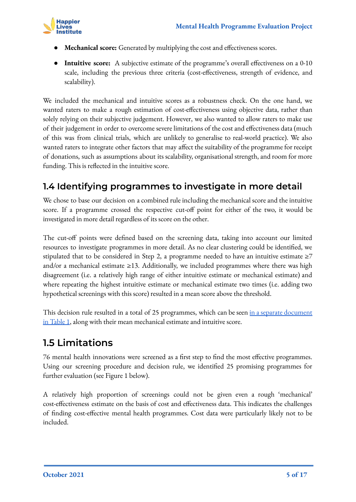

- **Mechanical score:** Generated by multiplying the cost and effectiveness scores.
- **Intuitive score:** A subjective estimate of the programme's overall effectiveness on a 0-10 scale, including the previous three criteria (cost-effectiveness, strength of evidence, and scalability).

We included the mechanical and intuitive scores as a robustness check. On the one hand, we wanted raters to make a rough estimation of cost-effectiveness using objective data, rather than solely relying on their subjective judgement. However, we also wanted to allow raters to make use of their judgement in order to overcome severe limitations of the cost and effectiveness data (much of this was from clinical trials, which are unlikely to generalise to real-world practice). We also wanted raters to integrate other factors that may affect the suitability of the programme for receipt of donations, such as assumptions about its scalability, organisational strength, and room for more funding. This is reflected in the intuitive score.

### <span id="page-4-0"></span>**1.4 Identifying programmes to investigate in more detail**

We chose to base our decision on a combined rule including the mechanical score and the intuitive score. If a programme crossed the respective cut-off point for either of the two, it would be investigated in more detail regardless of its score on the other.

The cut-off points were defined based on the screening data, taking into account our limited resources to investigate programmes in more detail. As no clear clustering could be identified, we stipulated that to be considered in Step 2, a programme needed to have an intuitive estimate  $\geq 7$ and/or a mechanical estimate  $\geq$ 13. Additionally, we included programmes where there was high disagreement (i.e. a relatively high range of either intuitive estimate or mechanical estimate) and where repeating the highest intuitive estimate or mechanical estimate two times (i.e. adding two hypothetical screenings with this score) resulted in a mean score above the threshold.

This decision rule resulted in a total of 25 programmes, which can be seen [in a separate document](https://docs.google.com/document/d/1N__Y8HoP75cyms-8ydoGkkgfAvsgXcgTA13YMl-pCLA/edit) [in Table 1,](https://docs.google.com/document/d/1N__Y8HoP75cyms-8ydoGkkgfAvsgXcgTA13YMl-pCLA/edit) along with their mean mechanical estimate and intuitive score.

### <span id="page-4-1"></span>**1.5 Limitations**

76 mental health innovations were screened as a first step to find the most effective programmes. Using our screening procedure and decision rule, we identified 25 promising programmes for further evaluation (see Figure 1 below).

A relatively high proportion of screenings could not be given even a rough 'mechanical' cost-effectiveness estimate on the basis of cost and effectiveness data. This indicates the challenges of finding cost-effective mental health programmes. Cost data were particularly likely not to be included.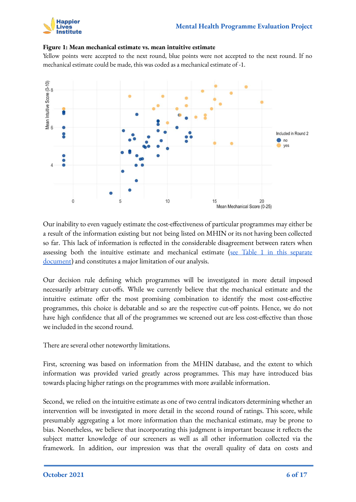

#### **Figure 1: Mean mechanical estimate vs. mean intuitive estimate**

Yellow points were accepted to the next round, blue points were not accepted to the next round. If no mechanical estimate could be made, this was coded as a mechanical estimate of -1.



Our inability to even vaguely estimate the cost-effectiveness of particular programmes may either be a result of the information existing but not being listed on MHIN or its not having been collected so far. This lack of information is reflected in the considerable disagreement between raters when assessing both the intuitive estimate and mechanical estimate ([see Table 1 in this separate](https://docs.google.com/document/d/1N__Y8HoP75cyms-8ydoGkkgfAvsgXcgTA13YMl-pCLA/edit) [document](https://docs.google.com/document/d/1N__Y8HoP75cyms-8ydoGkkgfAvsgXcgTA13YMl-pCLA/edit)) and constitutes a major limitation of our analysis.

Our decision rule defining which programmes will be investigated in more detail imposed necessarily arbitrary cut-offs. While we currently believe that the mechanical estimate and the intuitive estimate offer the most promising combination to identify the most cost-effective programmes, this choice is debatable and so are the respective cut-off points. Hence, we do not have high confidence that all of the programmes we screened out are less cost-effective than those we included in the second round.

There are several other noteworthy limitations.

First, screening was based on information from the MHIN database, and the extent to which information was provided varied greatly across programmes. This may have introduced bias towards placing higher ratings on the programmes with more available information.

Second, we relied on the intuitive estimate as one of two central indicators determining whether an intervention will be investigated in more detail in the second round of ratings. This score, while presumably aggregating a lot more information than the mechanical estimate, may be prone to bias. Nonetheless, we believe that incorporating this judgment is important because it reflects the subject matter knowledge of our screeners as well as all other information collected via the framework. In addition, our impression was that the overall quality of data on costs and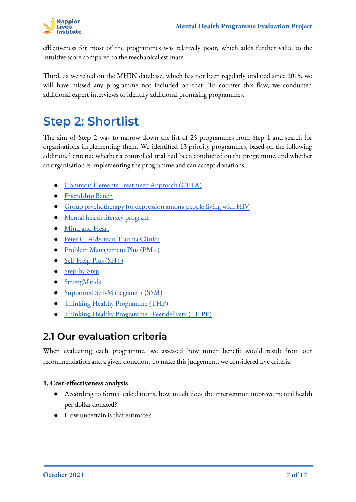

effectiveness for most of the programmes was relatively poor, which adds further value to the intuitive score compared to the mechanical estimate.

Third, as we relied on the MHIN database, which has not been regularly updated since 2015, we will have missed any programme not included on that. To counter this flaw, we conducted additional expert interviews to identify additional promising programmes.

## <span id="page-6-0"></span>**Step 2: Shortlist**

The aim of Step 2 was to narrow down the list of 25 programmes from Step 1 and search for organisations implementing them. We identified 13 priority programmes, based on the following additional criteria: whether a controlled trial had been conducted on the programme, and whether an organisation is implementing the programme and can accept donations.

- [Common Elements Treatment Approach \(CETA\)](https://www.mhinnovation.net/innovations/common-elements-treatment-approach-ceta-thailand)
- [Friendship Bench](https://www.mhinnovation.net/innovations/friendship-bench)
- [Group psychotherapy for depression among people living with HIV](https://www.mhinnovation.net/innovations/group-psychotherapy-model-depression-among-plwh)
- [Mental health literacy program](https://www.mhinnovation.net/innovations/improving-mental-health-nicaraguan-youth-technology-enhanced-school-based-program?qt-content_innovation=1#qt-content_innovation)
- [Mind and Heart](https://www.mhinnovation.net/innovations/mind-and-heart-community-based-group-cognitive-processing-therapy-cpt-survivors-sexual)
- [Peter C. Alderman Trauma Clinics](https://www.mhinnovation.net/innovations/peter-c-alderman-trauma-clinics)
- [Problem Management Plus \(PM+\)](https://www.mhinnovation.net/innovations/problem-management-plus-pm)
- $\bullet$  [Self-Help Plus \(SH+\)](https://www.mhinnovation.net/innovations/self-help-plus-sh-guided-multimedia-psychosocial-self-help-package)
- [Step-by-Step](https://www.mhinnovation.net/innovations/step-step-e-mental-health-lebanon)
- [StrongMinds](https://www.mhinnovation.net/innovations/strongminds)
- [Supported Self-Management \(SSM\)](https://www.mhinnovation.net/innovations/feasibility-study-preparation-randomized-controlled-trial-enhanced-primary-mental-health)
- [Thinking Healthy Programme \(THP\)](https://www.mhinnovation.net/innovations/thinking-healthy-programme)
- [Thinking Healthy Programme Peer-delivery \(THPP\)](https://www.mhinnovation.net/innovations/thinking-healthy-programme-peer-delivery-thpp)

### <span id="page-6-1"></span>**2.1 Our evaluation criteria**

When evaluating each programme, we assessed how much benefit would result from our recommendation and a given donation. To make this judgement, we considered five criteria:

#### **1. Cost-effectiveness analysis**

- According to formal calculations, how much does the intervention improve mental health per dollar donated?
- How uncertain is that estimate?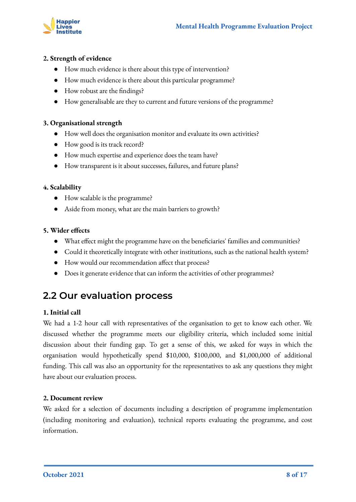

#### **2. Strength of evidence**

- How much evidence is there about this type of intervention?
- How much evidence is there about this particular programme?
- How robust are the findings?
- How generalisable are they to current and future versions of the programme?

#### **3. Organisational strength**

- How well does the organisation monitor and evaluate its own activities?
- How good is its track record?
- How much expertise and experience does the team have?
- How transparent is it about successes, failures, and future plans?

#### **4. Scalability**

- How scalable is the programme?
- Aside from money, what are the main barriers to growth?

#### **5. Wider effects**

- What effect might the programme have on the beneficiaries' families and communities?
- Could it theoretically integrate with other institutions, such as the national health system?
- How would our recommendation affect that process?
- Does it generate evidence that can inform the activities of other programmes?

### <span id="page-7-0"></span>**2.2 Our evaluation process**

#### **1. Initial call**

We had a 1-2 hour call with representatives of the organisation to get to know each other. We discussed whether the programme meets our eligibility criteria, which included some initial discussion about their funding gap. To get a sense of this, we asked for ways in which the organisation would hypothetically spend \$10,000, \$100,000, and \$1,000,000 of additional funding. This call was also an opportunity for the representatives to ask any questions they might have about our evaluation process.

#### **2. Document review**

We asked for a selection of documents including a description of programme implementation (including monitoring and evaluation), technical reports evaluating the programme, and cost information.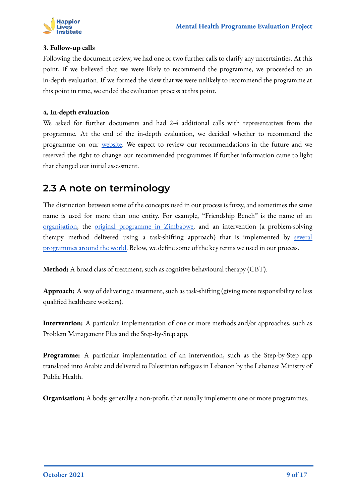

#### **3. Follow-up calls**

Following the document review, we had one or two further calls to clarify any uncertainties. At this point, if we believed that we were likely to recommend the programme, we proceeded to an in-depth evaluation. If we formed the view that we were unlikely to recommend the programme at this point in time, we ended the evaluation process at this point.

#### **4. In-depth evaluation**

We asked for further documents and had 2-4 additional calls with representatives from the programme. At the end of the in-depth evaluation, we decided whether to recommend the programme on our [website](https://www.happierlivesinstitute.org/donation-advice.html). We expect to review our recommendations in the future and we reserved the right to change our recommended programmes if further information came to light that changed our initial assessment.

### <span id="page-8-0"></span>**2.3 A note on terminology**

The distinction between some of the concepts used in our process is fuzzy, and sometimes the same name is used for more than one entity. For example, "Friendship Bench" is the name of an [organisation,](https://www.friendshipbenchzimbabwe.org/) the [original programme in Zimbabwe,](https://www.mhinnovation.net/innovations/friendship-bench) and an intervention (a problem-solving therapy method delivered using a task-shifting approach) that is implemented by [several](https://www.friendshipbenchzimbabwe.org/active-benches) [programmes around the world.](https://www.friendshipbenchzimbabwe.org/active-benches) Below, we define some of the key terms we used in our process.

**Method:** A broad class of treatment, such as cognitive behavioural therapy (CBT).

**Approach:** A way of delivering a treatment, such as task-shifting (giving more responsibility to less qualified healthcare workers).

**Intervention:** A particular implementation of one or more methods and/or approaches, such as Problem Management Plus and the Step-by-Step app.

**Programme:** A particular implementation of an intervention, such as the Step-by-Step app translated into Arabic and delivered to Palestinian refugees in Lebanon by the Lebanese Ministry of Public Health.

**Organisation:** A body, generally a non-profit, that usually implements one or more programmes.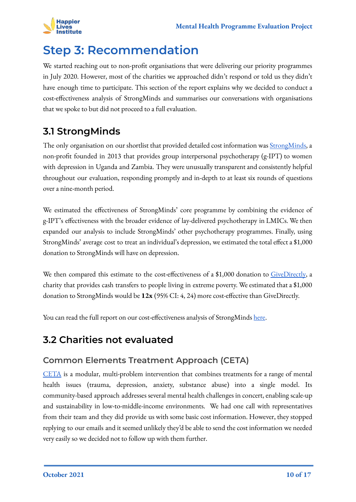

## <span id="page-9-0"></span>**Step 3: Recommendation**

We started reaching out to non-profit organisations that were delivering our priority programmes in July 2020. However, most of the charities we approached didn't respond or told us they didn't have enough time to participate. This section of the report explains why we decided to conduct a cost-effectiveness analysis of StrongMinds and summarises our conversations with organisations that we spoke to but did not proceed to a full evaluation.

### <span id="page-9-1"></span>**3.1 StrongMinds**

The only organisation on our shortlist that provided detailed cost information was [StrongMinds,](https://strongminds.org/) a non-profit founded in 2013 that provides group interpersonal psychotherapy (g-IPT) to women with depression in Uganda and Zambia. They were unusually transparent and consistently helpful throughout our evaluation, responding promptly and in-depth to at least six rounds of questions over a nine-month period.

We estimated the effectiveness of StrongMinds' core programme by combining the evidence of g-IPT's effectiveness with the broader evidence of lay-delivered psychotherapy in LMICs. We then expanded our analysis to include StrongMinds' other psychotherapy programmes. Finally, using StrongMinds' average cost to treat an individual's depression, we estimated the total effect a \$1,000 donation to StrongMinds will have on depression.

We then compared this estimate to the cost-effectiveness of a \$1,000 donation to [GiveDirectly](https://www.givedirectly.org/), a charity that provides cash transfers to people living in extreme poverty. We estimated that a \$1,000 donation to StrongMinds would be **12x** (95% CI: 4, 24) more cost-effective than GiveDirectly.

<span id="page-9-2"></span>You can read the full report on our cost-effectiveness analysis of StrongMinds [here](https://www.happierlivesinstitute.org/psychotherapy.html).

### **3.2 Charities not evaluated**

### <span id="page-9-3"></span>**Common Elements Treatment Approach (CETA)**

[CETA](https://www.cetaglobal.org/) is a modular, multi-problem intervention that combines treatments for a range of mental health issues (trauma, depression, anxiety, substance abuse) into a single model. Its community-based approach addresses several mental health challenges in concert, enabling scale-up and sustainability in low-to-middle-income environments. We had one call with representatives from their team and they did provide us with some basic cost information. However, they stopped replying to our emails and it seemed unlikely they'd be able to send the cost information we needed very easily so we decided not to follow up with them further.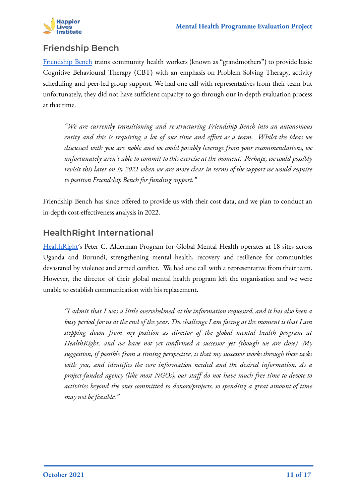

### <span id="page-10-0"></span>**Friendship Bench**

[Friendship Bench](https://www.friendshipbenchzimbabwe.org/) trains community health workers (known as "grandmothers") to provide basic Cognitive Behavioural Therapy (CBT) with an emphasis on Problem Solving Therapy, activity scheduling and peer-led group support. We had one call with representatives from their team but unfortunately, they did not have sufficient capacity to go through our in-depth evaluation process at that time.

*"We are currently transitioning and re-structuring Friendship Bench into an autonomous entity and this is requiring a lot of our time and effort as a team. Whilst the ideas we discussed with you are noble and we could possibly leverage from your recommendations, we unfortunately aren't able to commit to this exercise at the moment. Perhaps, we could possibly revisit this later on in 2021 when we are more clear in terms of the support we would require to position Friendship Bench for funding support."*

Friendship Bench has since offered to provide us with their cost data, and we plan to conduct an in-depth cost-effectiveness analysis in 2022.

### <span id="page-10-1"></span>**HealthRight International**

[HealthRight'](https://healthright.org/)s Peter C. Alderman Program for Global Mental Health operates at 18 sites across Uganda and Burundi, strengthening mental health, recovery and resilience for communities devastated by violence and armed conflict. We had one call with a representative from their team. However, the director of their global mental health program left the organisation and we were unable to establish communication with his replacement.

*"I admit that I was a little overwhelmed at the information requested, and it has also been a busy period for us at the end of the year. The challenge I am facing at the moment is that I am stepping down from my position as director of the global mental health program at HealthRight, and we have not yet confirmed a successor yet (though we are close). My suggestion, if possible from a timing perspective, is that my successor works through these tasks with you, and identifies the core information needed and the desired information. As a project-funded agency (like most NGOs), our staff do not have much free time to devote to activities beyond the ones committed to donors/projects, so spending a great amount of time may not be feasible."*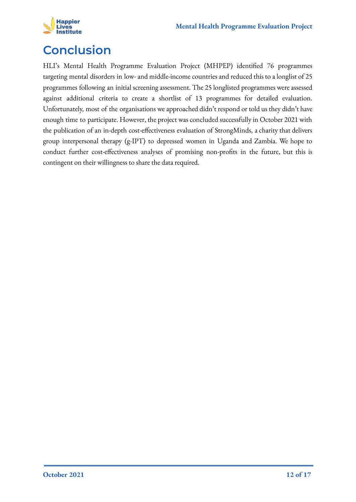

## <span id="page-11-0"></span>**Conclusion**

HLI's Mental Health Programme Evaluation Project (MHPEP) identified 76 programmes targeting mental disorders in low- and middle-income countries and reduced this to a longlist of 25 programmes following an initial screening assessment. The 25 longlisted programmes were assessed against additional criteria to create a shortlist of 13 programmes for detailed evaluation. Unfortunately, most of the organisations we approached didn't respond or told us they didn't have enough time to participate. However, the project was concluded successfully in October 2021 with the publication of an in-depth cost-effectiveness evaluation of StrongMinds, a charity that delivers group interpersonal therapy (g-IPT) to depressed women in Uganda and Zambia. We hope to conduct further cost-effectiveness analyses of promising non-profits in the future, but this is contingent on their willingness to share the data required.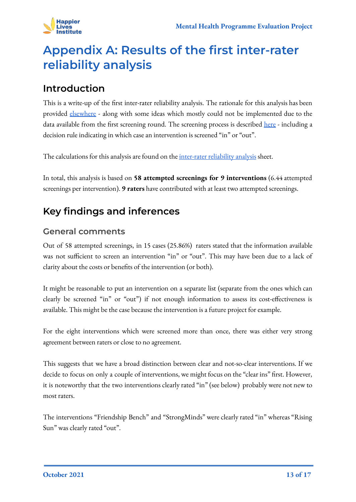

## <span id="page-12-0"></span>**Appendix A: Results of the first inter-rater reliability analysis**

### **Introduction**

This is a write-up of the first inter-rater reliability analysis. The rationale for this analysis has been provided [elsewhere](https://docs.google.com/document/d/1C_no3-V0Npa4QkbtGqUgrraPkIpZR5Il9lJ_bnWK9Ac/edit) - along with some ideas which mostly could not be implemented due to the data available from the first screening round. The screening process is described <u>[here](https://docs.google.com/document/d/1Z_vi_shekmtNcur7qFspsl2jpnyYpLSALQ1XLNeCc00/edit)</u> - including a decision rule indicating in which case an intervention is screened "in" or "out".

The calculations for this analysis are found on the [inter-rater reliability analysis](https://docs.google.com/spreadsheets/d/1B888tmK8wQrKgZ7cZXggd57DhO_wPCyZSqCLtGwARog/edit#gid=2029397378) sheet.

In total, this analysis is based on **58 attempted screenings for 9 interventions** (6.44 attempted screenings per intervention). **9 raters** have contributed with at least two attempted screenings.

### **Key findings and inferences**

### **General comments**

Out of 58 attempted screenings, in 15 cases (25.86%) raters stated that the information available was not sufficient to screen an intervention "in" or "out". This may have been due to a lack of clarity about the costs or benefits of the intervention (or both).

It might be reasonable to put an intervention on a separate list (separate from the ones which can clearly be screened "in" or "out") if not enough information to assess its cost-effectiveness is available. This might be the case because the intervention is a future project for example.

For the eight interventions which were screened more than once, there was either very strong agreement between raters or close to no agreement.

This suggests that we have a broad distinction between clear and not-so-clear interventions. If we decide to focus on only a couple of interventions, we might focus on the "clear ins" first. However, it is noteworthy that the two interventions clearly rated "in" (see below) probably were not new to most raters.

The interventions "Friendship Bench" and "StrongMinds" were clearly rated "in" whereas "Rising Sun" was clearly rated "out".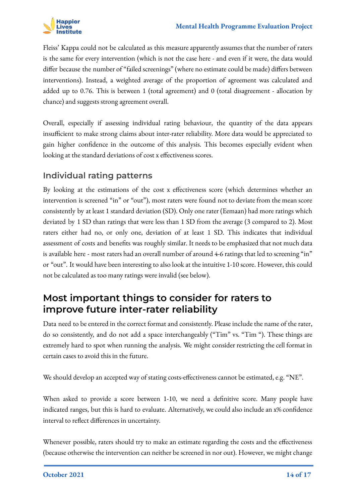

Fleiss' Kappa could not be calculated as this measure apparently assumes that the number of raters is the same for every intervention (which is not the case here - and even if it were, the data would differ because the number of "failed screenings" (where no estimate could be made) differs between interventions). Instead, a weighted average of the proportion of agreement was calculated and added up to 0.76. This is between 1 (total agreement) and 0 (total disagreement - allocation by chance) and suggests strong agreement overall.

Overall, especially if assessing individual rating behaviour, the quantity of the data appears insufficient to make strong claims about inter-rater reliability. More data would be appreciated to gain higher confidence in the outcome of this analysis. This becomes especially evident when looking at the standard deviations of cost x effectiveness scores.

### **Individual rating patterns**

By looking at the estimations of the cost x effectiveness score (which determines whether an intervention is screened "in" or "out"), most raters were found not to deviate from the mean score consistently by at least 1 standard deviation (SD). Only one rater (Eemaan) had more ratings which deviated by 1 SD than ratings that were less than 1 SD from the average (3 compared to 2). Most raters either had no, or only one, deviation of at least 1 SD. This indicates that individual assessment of costs and benefits was roughly similar. It needs to be emphasized that not much data is available here - most raters had an overall number of around 4-6 ratings that led to screening "in" or "out". It would have been interesting to also look at the intuitive 1-10 score. However, this could not be calculated as too many ratings were invalid (see below).

### **Most important things to consider for raters to improve future inter-rater reliability**

Data need to be entered in the correct format and consistently. Please include the name of the rater, do so consistently, and do not add a space interchangeably ("Tim" vs. "Tim "). These things are extremely hard to spot when running the analysis. We might consider restricting the cell format in certain cases to avoid this in the future.

We should develop an accepted way of stating costs-effectiveness cannot be estimated, e.g. "NE".

When asked to provide a score between 1-10, we need a definitive score. Many people have indicated ranges, but this is hard to evaluate. Alternatively, we could also include an x% confidence interval to reflect differences in uncertainty.

Whenever possible, raters should try to make an estimate regarding the costs and the effectiveness (because otherwise the intervention can neither be screened in nor out). However, we might change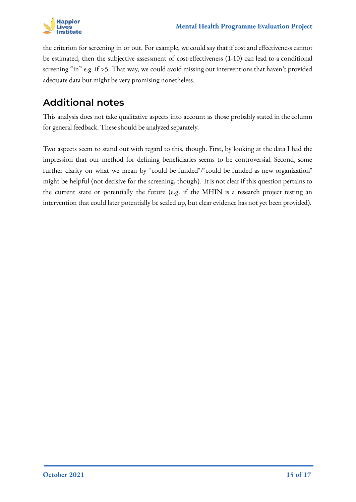

the criterion for screening in or out. For example, we could say that if cost and effectiveness cannot be estimated, then the subjective assessment of cost-effectiveness (1-10) can lead to a conditional screening "in" e.g. if >5. That way, we could avoid missing out interventions that haven't provided adequate data but might be very promising nonetheless.

### **Additional notes**

This analysis does not take qualitative aspects into account as those probably stated in the column for general feedback. These should be analyzed separately.

Two aspects seem to stand out with regard to this, though. First, by looking at the data I had the impression that our method for defining beneficiaries seems to be controversial. Second, some further clarity on what we mean by "could be funded"/"could be funded as new organization" might be helpful (not decisive for the screening, though). It is not clear if this question pertains to the current state or potentially the future (e.g. if the MHIN is a research project testing an intervention that could later potentially be scaled up, but clear evidence has not yet been provided).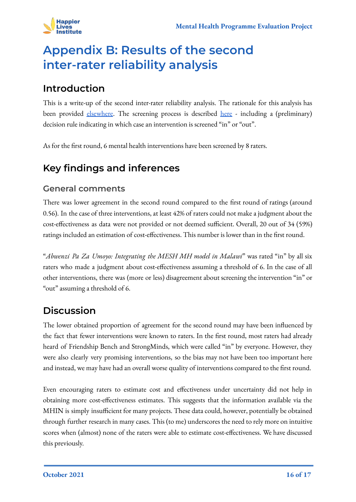

## <span id="page-15-0"></span>**Appendix B: Results of the second inter-rater reliability analysis**

### **Introduction**

This is a write-up of the second inter-rater reliability analysis. The rationale for this analysis has been provided [elsewhere](https://docs.google.com/document/d/1C_no3-V0Npa4QkbtGqUgrraPkIpZR5Il9lJ_bnWK9Ac/edit). The screening process is described [here](https://docs.google.com/document/d/1Z_vi_shekmtNcur7qFspsl2jpnyYpLSALQ1XLNeCc00/edit) - including a (preliminary) decision rule indicating in which case an intervention is screened "in" or "out".

As for the first round, 6 mental health interventions have been screened by 8 raters.

### **Key findings and inferences**

### **General comments**

There was lower agreement in the second round compared to the first round of ratings (around 0.56). In the case of three interventions, at least 42% of raters could not make a judgment about the cost-effectiveness as data were not provided or not deemed sufficient. Overall, 20 out of 34 (59%) ratings included an estimation of cost-effectiveness. This number is lower than in the first round.

"*Abwenzi Pa Za Umoyo: Integrating the MESH MH model in Malawi*" was rated "in" by all six raters who made a judgment about cost-effectiveness assuming a threshold of 6. In the case of all other interventions, there was (more or less) disagreement about screening the intervention "in" or "out" assuming a threshold of 6.

### **Discussion**

The lower obtained proportion of agreement for the second round may have been influenced by the fact that fewer interventions were known to raters. In the first round, most raters had already heard of Friendship Bench and StrongMinds, which were called "in" by everyone. However, they were also clearly very promising interventions, so the bias may not have been too important here and instead, we may have had an overall worse quality of interventions compared to the first round.

Even encouraging raters to estimate cost and effectiveness under uncertainty did not help in obtaining more cost-effectiveness estimates. This suggests that the information available via the MHIN is simply insufficient for many projects. These data could, however, potentially be obtained through further research in many cases. This (to me) underscores the need to rely more on intuitive scores when (almost) none of the raters were able to estimate cost-effectiveness. We have discussed this previously.